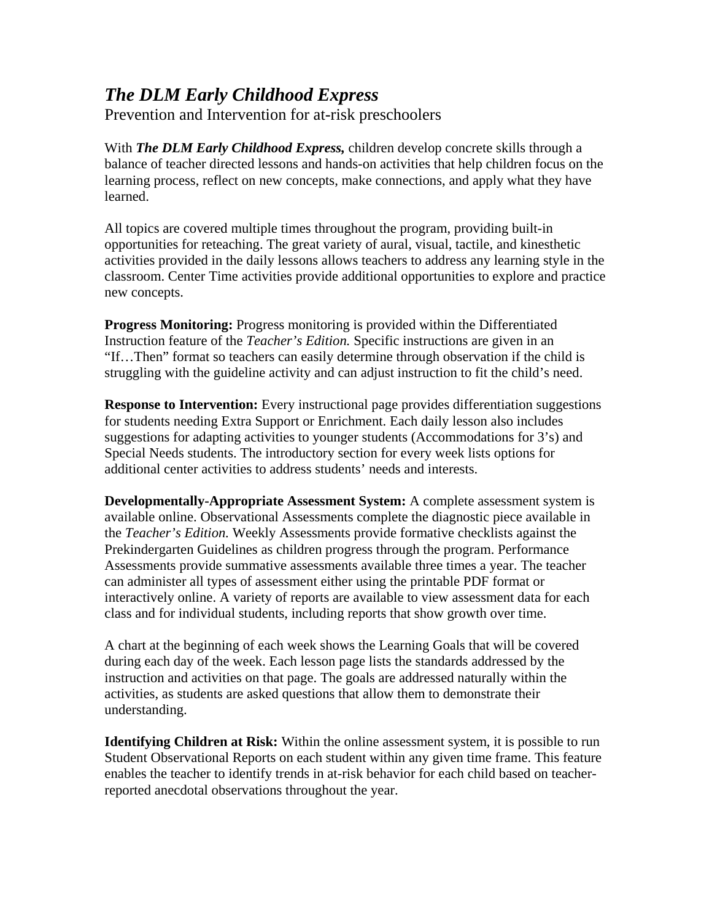## *The DLM Early Childhood Express*

Prevention and Intervention for at-risk preschoolers

With *The DLM Early Childhood Express,* children develop concrete skills through a balance of teacher directed lessons and hands-on activities that help children focus on the learning process, reflect on new concepts, make connections, and apply what they have learned.

All topics are covered multiple times throughout the program, providing built-in opportunities for reteaching. The great variety of aural, visual, tactile, and kinesthetic activities provided in the daily lessons allows teachers to address any learning style in the classroom. Center Time activities provide additional opportunities to explore and practice new concepts.

**Progress Monitoring:** Progress monitoring is provided within the Differentiated Instruction feature of the *Teacher's Edition.* Specific instructions are given in an "If…Then" format so teachers can easily determine through observation if the child is struggling with the guideline activity and can adjust instruction to fit the child's need.

**Response to Intervention:** Every instructional page provides differentiation suggestions for students needing Extra Support or Enrichment. Each daily lesson also includes suggestions for adapting activities to younger students (Accommodations for 3's) and Special Needs students. The introductory section for every week lists options for additional center activities to address students' needs and interests.

**Developmentally-Appropriate Assessment System:** A complete assessment system is available online. Observational Assessments complete the diagnostic piece available in the *Teacher's Edition.* Weekly Assessments provide formative checklists against the Prekindergarten Guidelines as children progress through the program. Performance Assessments provide summative assessments available three times a year. The teacher can administer all types of assessment either using the printable PDF format or interactively online. A variety of reports are available to view assessment data for each class and for individual students, including reports that show growth over time.

A chart at the beginning of each week shows the Learning Goals that will be covered during each day of the week. Each lesson page lists the standards addressed by the instruction and activities on that page. The goals are addressed naturally within the activities, as students are asked questions that allow them to demonstrate their understanding.

**Identifying Children at Risk:** Within the online assessment system, it is possible to run Student Observational Reports on each student within any given time frame. This feature enables the teacher to identify trends in at-risk behavior for each child based on teacherreported anecdotal observations throughout the year.